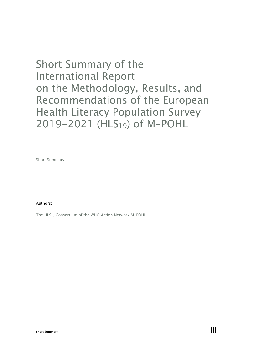# Short Summary of the International Report on the Methodology, Results, and Recommendations of the European Health Literacy Population Survey 2019-2021 (HLS<sub>19</sub>) of M-POHL

Short Summary

Authors:

The HLS19 Consortium of the WHO Action Network M-POHL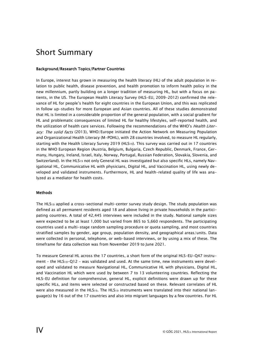# Short Summary

## Background/Research Topics/Partner Countries

In Europe, interest has grown in measuring the health literacy (HL) of the adult population in relation to public health, disease prevention, and health promotion to inform health policy in the new millennium, partly building on a longer tradition of measuring HL, but with a focus on patients, in the US. The European Health Literacy Survey (HLS-EU, 2009-2012) confirmed the relevance of HL for people's health for eight countries in the European Union, and this was replicated in follow up-studies for more European and Asian countries. All of these studies demonstrated that HL is limited in a considerable proportion of the general population, with a social gradient for HL and problematic consequences of limited HL for healthy lifestyles, self-reported health, and the utilization of health care services. Following the recommendations of the WHO's *Health Liter*acy: The solid facts (2013), WHO/Europe initiated the Action Network on Measuring Population and Organizational Health Literacy (M-POHL), with 28 countries involved, to measure HL regularly, starting with the Health Literacy Survey 2019 (HLS19). This survey was carried out in 17 countries in the WHO European Region (Austria, Belgium, Bulgaria, Czech Republic, Denmark, France, Germany, Hungary, Ireland, Israel, Italy, Norway, Portugal, Russian Federation, Slovakia, Slovenia, and Switzerland). In the HLS19 not only General HL was investigated but also specific HLs, namely Navigational HL, Communicative HL with physicians, Digital HL, and Vaccination HL, using newly developed and validated instruments. Furthermore, HL and health-related quality of life was analyzed as a mediator for health costs.

#### **Methods**

The  $HLS_{19}$  applied a cross-sectional multi-center survey study design. The study population was defined as all permanent residents aged 18 and above living in private households in the participating countries. A total of 42,445 interviews were included in the study. National sample sizes were expected to be at least 1,000 but varied from 865 to 5,660 respondents. The participating countries used a multi-stage random sampling procedure or quota sampling, and most countries stratified samples by gender, age group, population density, and geographical areas/units. Data were collected in personal, telephone, or web-based interviews, or by using a mix of these. The timeframe for data collection was from November 2019 to June 2021.

To measure General HL across the 17 countries, a short form of the original HLS-EU-Q47 instrument – the HLS19-Q12 – was validated and used. At the same time, new instruments were developed and validated to measure Navigational HL, Communicative HL with physicians, Digital HL, and Vaccination HL which were used by between 7 to 13 volunteering countries. Reflecting the HLS-EU definition for comprehensive, general HL, explicit definitions were drawn up for these specific HLs, and items were selected or constructed based on these. Relevant correlates of HL were also measured in the HLS<sub>19</sub>. The HLS<sub>19</sub> instruments were translated into their national language(s) by 16 out of the 17 countries and also into migrant languages by a few countries. For HL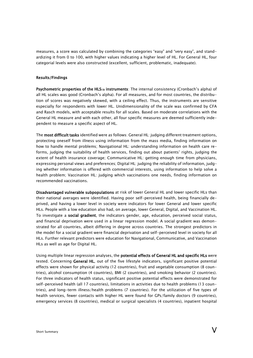measures, a score was calculated by combining the categories "easy" and "very easy", and standardizing it from 0 to 100, with higher values indicating a higher level of HL. For General HL, four categorial levels were also constructed (excellent, sufficient, problematic, inadequate).

#### Results/Findings

Psychometric properties of the HLS<sub>19</sub> instruments: The internal consistency (Cronbach's alpha) of all HL scales was good (Cronbach's alpha). For all measures, and for most countries, the distribution of scores was negatively skewed, with a ceiling effect. Thus, the instruments are sensitive especially for respondents with lower HL. Unidimensionality of the scale was confirmed by CFA and Rasch models, with acceptable results for all scales. Based on moderate correlations with the General HL measure and with each other, all four specific measures are deemed sufficiently independent to measure a specific aspect of HL.

The most difficult tasks identified were as follows: General HL: judging different treatment options, protecting oneself from illness using information from the mass media, finding information on how to handle mental problems; Navigational HL: understanding information on health care reforms, judging the suitability of health services, finding out about patients' rights, judging the extent of health insurance coverage; Communicative HL: getting enough time from physicians, expressing personal views and preferences; Digital HL: judging the reliability of information, judging whether information is offered with commercial interests, using information to help solve a health problem; Vaccination HL: judging which vaccinations one needs, finding information on recommended vaccinations.

Disadvantaged vulnerable subpopulations at risk of lower General HL and lower specific HLs than their national averages were identified. Having poor self-perceived health, being financially deprived, and having a lower level in society were indicators for lower General and lower specific HLs. People with a low education also had, on average, lower General, Digital, and Vaccination HL. To investigate a social gradient, the indicators gender, age, education, perceived social status, and financial deprivation were used in a linear regression model. A social gradient was demonstrated for all countries, albeit differing in degree across countries. The strongest predictors in the model for a social gradient were financial deprivation and self-perceived level in society for all HLs. Further relevant predictors were education for Navigational, Communicative, and Vaccination HLs as well as age for Digital HL.

Using multiple linear regression analyses, the potential effects of General HL and specific HLs were tested. Concerning General HL, out of the five lifestyle indicators, significant positive potential effects were shown for physical activity (12 countries), fruit and vegetable consumption (8 countries), alcohol consumption (4 countries), BMI (2 countries), and smoking behavior (2 countries). For three indicators of health status, significant positive potential effects were demonstrated for self-perceived health (all 17 countries), limitations in activities due to health problems (13 countries), and long-term illness/health problems (7 countries). For the utilization of five types of health services, fewer contacts with higher HL were found for GPs/family doctors (9 countries), emergency services (8 countries), medical or surgical specialists (4 countries), inpatient hospital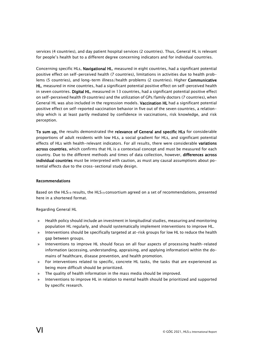services (4 countries), and day patient hospital services (2 countries). Thus, General HL is relevant for people's health but to a different degree concerning indicators and for individual countries.

Concerning specific HLs, Navigational HL, measured in eight countries, had a significant potential positive effect on self-perceived health (7 countries), limitations in activities due to health problems (5 countries), and long-term illness/health problems (2 countries). Higher Communicative HL, measured in nine countries, had a significant potential positive effect on self-perceived health in seven countries. Digital HL, measured in 13 countries, had a significant potential positive effect on self-perceived health (9 countries) and the utilization of GPs/family doctors (7 countries), when General HL was also included in the regression models. Vaccination HL had a significant potential positive effect on self-reported vaccination behavior in five out of the seven countries, a relationship which is at least partly mediated by confidence in vaccinations, risk knowledge, and risk perception.

To sum up, the results demonstrated the relevance of General and specific HLs for considerable proportions of adult residents with low HLs, a social gradient for HLs, and significant potential effects of HLs with health-relevant indicators. For all results, there were considerable variations across countries, which confirms that HL is a contextual concept and must be measured for each country. Due to the different methods and times of data collection, however, differences across individual countries must be interpreted with caution, as must any causal assumptions about potential effects due to the cross-sectional study design.

# Recommendations

Based on the HLS19 results, the HLS19 consortium agreed on a set of recommendations, presented here in a shortened format.

Regarding General HL

- » Health policy should include an investment in longitudinal studies, measuring and monitoring population HL regularly, and should systematically implement interventions to improve HL.
- » Interventions should be specifically targeted at at-risk groups for low HL to reduce the health gap between groups.
- » Interventions to improve HL should focus on all four aspects of processing health-related information (accessing, understanding, appraising, and applying information) within the domains of healthcare, disease prevention, and health promotion.
- » For interventions related to specific, concrete HL tasks, the tasks that are experienced as being more difficult should be prioritized.
- » The quality of health information in the mass media should be improved.
- » Interventions to improve HL in relation to mental health should be prioritized and supported by specific research.